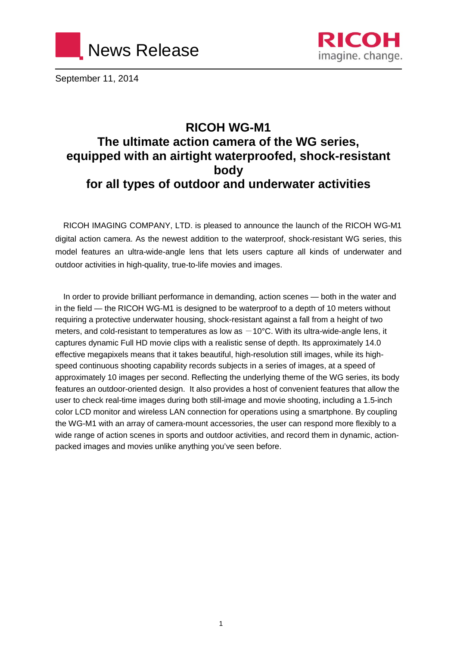



September 11, 2014

# **RICOH WG-M1 The ultimate action camera of the WG series, equipped with an airtight waterproofed, shock-resistant body for all types of outdoor and underwater activities**

RICOH IMAGING COMPANY, LTD. is pleased to announce the launch of the RICOH WG-M1 digital action camera. As the newest addition to the waterproof, shock-resistant WG series, this model features an ultra-wide-angle lens that lets users capture all kinds of underwater and outdoor activities in high-quality, true-to-life movies and images.

In order to provide brilliant performance in demanding, action scenes — both in the water and in the field — the RICOH WG-M1 is designed to be waterproof to a depth of 10 meters without requiring a protective underwater housing, shock-resistant against a fall from a height of two meters, and cold-resistant to temperatures as low as  $-10^{\circ}$ C. With its ultra-wide-angle lens, it captures dynamic Full HD movie clips with a realistic sense of depth. Its approximately 14.0 effective megapixels means that it takes beautiful, high-resolution still images, while its highspeed continuous shooting capability records subjects in a series of images, at a speed of approximately 10 images per second. Reflecting the underlying theme of the WG series, its body features an outdoor-oriented design. It also provides a host of convenient features that allow the user to check real-time images during both still-image and movie shooting, including a 1.5-inch color LCD monitor and wireless LAN connection for operations using a smartphone. By coupling the WG-M1 with an array of camera-mount accessories, the user can respond more flexibly to a wide range of action scenes in sports and outdoor activities, and record them in dynamic, actionpacked images and movies unlike anything you've seen before.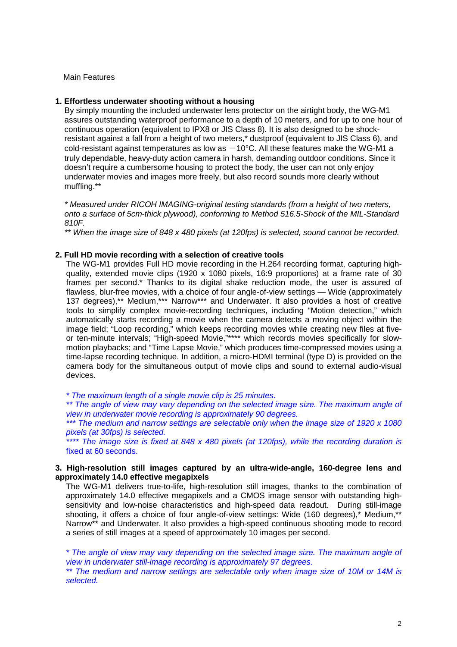Main Features

#### **1. Effortless underwater shooting without a housing**

By simply mounting the included underwater lens protector on the airtight body, the WG-M1 assures outstanding waterproof performance to a depth of 10 meters, and for up to one hour of continuous operation (equivalent to IPX8 or JIS Class 8). It is also designed to be shockresistant against a fall from a height of two meters,\* dustproof (equivalent to JIS Class 6), and cold-resistant against temperatures as low as  $-10^{\circ}$ C. All these features make the WG-M1 a truly dependable, heavy-duty action camera in harsh, demanding outdoor conditions. Since it doesn't require a cumbersome housing to protect the body, the user can not only enjoy underwater movies and images more freely, but also record sounds more clearly without muffling.\*\*

*\* Measured under RICOH IMAGING-original testing standards (from a height of two meters, onto a surface of 5cm-thick plywood), conforming to Method 516.5-Shock of the MIL-Standard 810F.*

*\*\* When the image size of 848 x 480 pixels (at 120fps) is selected, sound cannot be recorded.*

#### **2. Full HD movie recording with a selection of creative tools**

The WG-M1 provides Full HD movie recording in the H.264 recording format, capturing highquality, extended movie clips (1920 x 1080 pixels, 16:9 proportions) at a frame rate of 30 frames per second.\* Thanks to its digital shake reduction mode, the user is assured of flawless, blur-free movies, with a choice of four angle-of-view settings — Wide (approximately 137 degrees),\*\* Medium,\*\*\* Narrow\*\*\* and Underwater. It also provides a host of creative tools to simplify complex movie-recording techniques, including "Motion detection," which automatically starts recording a movie when the camera detects a moving object within the image field; "Loop recording," which keeps recording movies while creating new files at fiveor ten-minute intervals; "High-speed Movie,"\*\*\*\* which records movies specifically for slowmotion playbacks; and "Time Lapse Movie," which produces time-compressed movies using a time-lapse recording technique. In addition, a micro-HDMI terminal (type D) is provided on the camera body for the simultaneous output of movie clips and sound to external audio-visual devices.

*\* The maximum length of a single movie clip is 25 minutes.*

\*\* The angle of view may vary depending on the selected image size. The maximum angle of *view in underwater movie recording is approximately 90 degrees.*

*\*\*\* The medium and narrow settings are selectable only when the image size of 1920 x 1080 pixels (at 30fps) is selected.*

*\*\*\*\* The image size is fixed at 848 x 480 pixels (at 120fps), while the recording duration is* fixed at 60 seconds.

#### **3. High-resolution still images captured by an ultra-wide-angle, 160-degree lens and approximately 14.0 effective megapixels**

The WG-M1 delivers true-to-life, high-resolution still images, thanks to the combination of approximately 14.0 effective megapixels and a CMOS image sensor with outstanding highsensitivity and low-noise characteristics and high-speed data readout. During still-image shooting, it offers a choice of four angle-of-view settings: Wide (160 degrees),\* Medium,\*\* Narrow\*\* and Underwater. It also provides a high-speed continuous shooting mode to record a series of still images at a speed of approximately 10 images per second.

*\* The angle of view may vary depending on the selected image size. The maximum angle of view in underwater still-image recording is approximately 97 degrees.*

*\*\* The medium and narrow settings are selectable only when image size of 10M or 14M is selected.*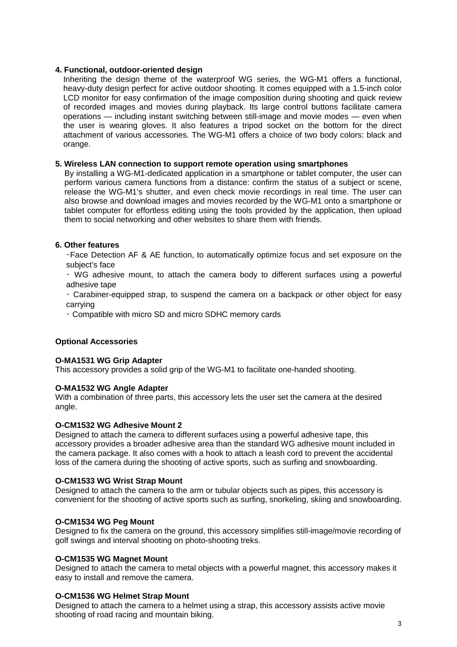#### **4. Functional, outdoor-oriented design**

Inheriting the design theme of the waterproof WG series, the WG-M1 offers a functional, heavy-duty design perfect for active outdoor shooting. It comes equipped with a 1.5-inch color LCD monitor for easy confirmation of the image composition during shooting and quick review of recorded images and movies during playback. Its large control buttons facilitate camera operations — including instant switching between still-image and movie modes — even when the user is wearing gloves. It also features a tripod socket on the bottom for the direct attachment of various accessories. The WG-M1 offers a choice of two body colors: black and orange.

#### **5. Wireless LAN connection to support remote operation using smartphones**

By installing a WG-M1-dedicated application in a smartphone or tablet computer, the user can perform various camera functions from a distance: confirm the status of a subject or scene, release the WG-M1's shutter, and even check movie recordings in real time. The user can also browse and download images and movies recorded by the WG-M1 onto a smartphone or tablet computer for effortless editing using the tools provided by the application, then upload them to social networking and other websites to share them with friends.

#### **6. Other features**

・Face Detection AF & AE function, to automatically optimize focus and set exposure on the subject's face

・ WG adhesive mount, to attach the camera body to different surfaces using a powerful adhesive tape

・ Carabiner-equipped strap, to suspend the camera on a backpack or other object for easy carrying

・ Compatible with micro SD and micro SDHC memory cards

#### **Optional Accessories**

#### **O-MA1531 WG Grip Adapter**

This accessory provides a solid grip of the WG-M1 to facilitate one-handed shooting.

#### **O-MA1532 WG Angle Adapter**

With a combination of three parts, this accessory lets the user set the camera at the desired angle.

#### **O-CM1532 WG Adhesive Mount 2**

Designed to attach the camera to different surfaces using a powerful adhesive tape, this accessory provides a broader adhesive area than the standard WG adhesive mount included in the camera package. It also comes with a hook to attach a leash cord to prevent the accidental loss of the camera during the shooting of active sports, such as surfing and snowboarding.

#### **O-CM1533 WG Wrist Strap Mount**

Designed to attach the camera to the arm or tubular objects such as pipes, this accessory is convenient for the shooting of active sports such as surfing, snorkeling, skiing and snowboarding.

#### **O-CM1534 WG Peg Mount**

Designed to fix the camera on the ground, this accessory simplifies still-image/movie recording of golf swings and interval shooting on photo-shooting treks.

#### **O-CM1535 WG Magnet Mount**

Designed to attach the camera to metal objects with a powerful magnet, this accessory makes it easy to install and remove the camera.

#### **O-CM1536 WG Helmet Strap Mount**

Designed to attach the camera to a helmet using a strap, this accessory assists active movie shooting of road racing and mountain biking.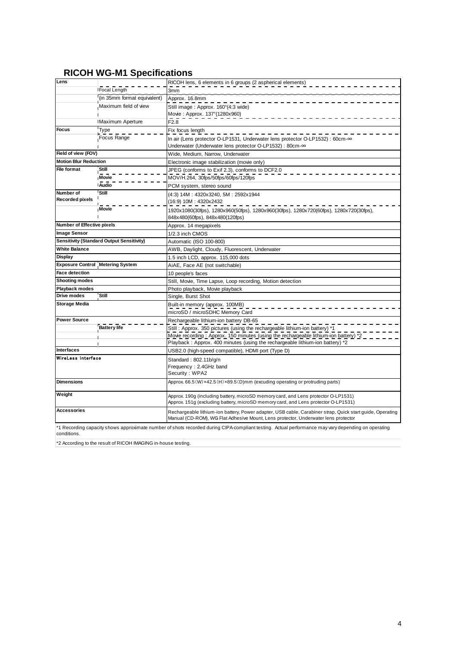### **RICOH WG-M1 Specifications**

| Lens                                                                                                                                               |                                                  | RICOH lens, 6 elements in 6 groups (2 aspherical elements)                                                                                                                                      |  |  |  |  |
|----------------------------------------------------------------------------------------------------------------------------------------------------|--------------------------------------------------|-------------------------------------------------------------------------------------------------------------------------------------------------------------------------------------------------|--|--|--|--|
|                                                                                                                                                    | Focal Length                                     | 3mm                                                                                                                                                                                             |  |  |  |  |
|                                                                                                                                                    | (in 35mm format equivalent)                      | Approx. 16.8mm                                                                                                                                                                                  |  |  |  |  |
|                                                                                                                                                    | Maximum field of view                            | Still image: Approx. 160°(4:3 wide)                                                                                                                                                             |  |  |  |  |
|                                                                                                                                                    |                                                  | Movie: Approx. 137°(1280x960)                                                                                                                                                                   |  |  |  |  |
|                                                                                                                                                    | Maximum Aperture                                 | F <sub>2.8</sub>                                                                                                                                                                                |  |  |  |  |
| Focus                                                                                                                                              | <b>Type</b>                                      | Fix focus length                                                                                                                                                                                |  |  |  |  |
|                                                                                                                                                    | Focus Range                                      | In air (Lens protector O-LP1531, Underwater lens protector O-LP1532) : 60cm-∞                                                                                                                   |  |  |  |  |
|                                                                                                                                                    |                                                  | Underwater (Underwater lens protector O-LP1532) : 80cm-∞                                                                                                                                        |  |  |  |  |
| Field of view (FOV)                                                                                                                                |                                                  | Wide, Medium, Narrow, Underwater                                                                                                                                                                |  |  |  |  |
| <b>Motion Blur Reduction</b>                                                                                                                       |                                                  | Electronic image stabilization (movie only)                                                                                                                                                     |  |  |  |  |
| File format                                                                                                                                        | Still                                            | JPEG (conforms to Exif 2.3), conforms to DCF2.0                                                                                                                                                 |  |  |  |  |
|                                                                                                                                                    | Movie                                            | MOV/H.264, 30fps/50fps/60fps/120fps                                                                                                                                                             |  |  |  |  |
|                                                                                                                                                    | <b>Audio</b>                                     | PCM system, stereo sound                                                                                                                                                                        |  |  |  |  |
| Number of                                                                                                                                          | Still                                            | (4:3) 14M: 4320x3240, 5M: 2592x1944                                                                                                                                                             |  |  |  |  |
| <b>Recorded pixels</b>                                                                                                                             |                                                  | (16:9) 10M : 4320x2432                                                                                                                                                                          |  |  |  |  |
|                                                                                                                                                    | <b>Movie</b>                                     | 1920x1080(30fps), 1280x960(50fps), 1280x960(30fps), 1280x720(60fps), 1280x720(30fps),<br>848x480(60fps), 848x480(120fps)                                                                        |  |  |  |  |
| Number of Effective pixels                                                                                                                         |                                                  | Approx. 14 megapixels                                                                                                                                                                           |  |  |  |  |
| <b>Image Sensor</b>                                                                                                                                |                                                  | 1/2.3 inch CMOS                                                                                                                                                                                 |  |  |  |  |
|                                                                                                                                                    | <b>Sensitivity (Standard Output Sensitivity)</b> | Automatic (ISO 100-800)                                                                                                                                                                         |  |  |  |  |
| <b>White Balance</b>                                                                                                                               |                                                  | AWB, Daylight, Cloudy, Fluorescent, Underwater                                                                                                                                                  |  |  |  |  |
| <b>Display</b>                                                                                                                                     |                                                  | 1.5 inch LCD, approx. 115,000 dots                                                                                                                                                              |  |  |  |  |
| <b>Exposure Control</b>                                                                                                                            | <b>Metering System</b>                           | AiAE, Face AE (not switchable)                                                                                                                                                                  |  |  |  |  |
| Face detection                                                                                                                                     |                                                  | 10 people's faces                                                                                                                                                                               |  |  |  |  |
| <b>Shooting modes</b>                                                                                                                              |                                                  | Still, Movie, Time Lapse, Loop recording, Motion detection                                                                                                                                      |  |  |  |  |
| <b>Playback modes</b>                                                                                                                              |                                                  | Photo playback, Movie playback                                                                                                                                                                  |  |  |  |  |
| Drive modes                                                                                                                                        | Still                                            | Single, Burst Shot                                                                                                                                                                              |  |  |  |  |
| <b>Storage Media</b>                                                                                                                               |                                                  | Built-in memory (approx. 100MB)                                                                                                                                                                 |  |  |  |  |
|                                                                                                                                                    |                                                  | microSD / microSDHC Memory Card                                                                                                                                                                 |  |  |  |  |
| <b>Power Source</b>                                                                                                                                |                                                  | Rechargeable lithium-ion battery DB-65                                                                                                                                                          |  |  |  |  |
|                                                                                                                                                    | <b>Battery</b> life                              | Still: Approx. 350 pictures (using the rechargeable lithium-ion battery) *1                                                                                                                     |  |  |  |  |
|                                                                                                                                                    |                                                  | Movie recording : Approx. 150 minutes (using the rechargeable lithium-ion battery) *2                                                                                                           |  |  |  |  |
|                                                                                                                                                    |                                                  | Playback: Approx. 400 minutes (using the rechargeable lithium-ion battery) *2                                                                                                                   |  |  |  |  |
| <b>Interfaces</b>                                                                                                                                  |                                                  | USB2.0 (high-speed compatible), HDMI port (Type D)                                                                                                                                              |  |  |  |  |
| WireLess interface                                                                                                                                 |                                                  | Standard: 802.11b/g/n                                                                                                                                                                           |  |  |  |  |
|                                                                                                                                                    |                                                  | Frequency: 2.4GHz band                                                                                                                                                                          |  |  |  |  |
|                                                                                                                                                    |                                                  | Security: WPA2                                                                                                                                                                                  |  |  |  |  |
| <b>Dimensions</b>                                                                                                                                  |                                                  | Approx. 66.5 (W) x42.5 (H) x89.5 (D) mm (excuding operating or protruding parts)                                                                                                                |  |  |  |  |
| Weight                                                                                                                                             |                                                  | Approx. 190g (including battery, microSD memory card, and Lens protector O-LP1531)                                                                                                              |  |  |  |  |
|                                                                                                                                                    |                                                  | Approx. 151g (excluding battery, microSD memory card, and Lens protector O-LP1531)                                                                                                              |  |  |  |  |
| <b>Accessories</b>                                                                                                                                 |                                                  | Rechargeable lithium-ion battery, Power adapter, USB cable, Carabiner strap, Quick start guide, Operating<br>Manual (CD-ROM), WG Flat Adhesive Mount, Lens protector, Underwater lens protector |  |  |  |  |
| *1 Recording canacity shows approximate number of shots recorded during CIPA-compliant testing. Actual performance may vary depending on operating |                                                  |                                                                                                                                                                                                 |  |  |  |  |

\*1 Recording capacity shows approximate number of shots recorded during CIPA-compliant testing. Actual performance may vary depending on operating conditions.

\*2 According to the result of RICOH IMAGING in-house testing.